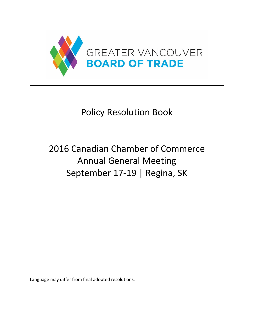

# Policy Resolution Book

# 2016 Canadian Chamber of Commerce Annual General Meeting September 17-19 | Regina, SK

Language may differ from final adopted resolutions.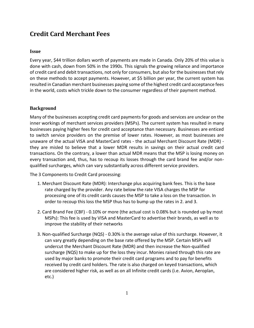# **Credit Card Merchant Fees**

#### **Issue**

Every year, \$44 trillion dollars worth of payments are made in Canada. Only 20% of this value is done with cash, down from 50% in the 1990s. This signals the growing reliance and importance of credit card and debit transactions, not only for consumers, but also for the businesses that rely on these methods to accept payments. However, at \$5 billion per year, the current system has resulted in Canadian merchant businesses paying some of the highest credit card acceptance fees in the world, costs which trickle down to the consumer regardless of their payment method.

## **Background**

Many of the businesses accepting credit card payments for goods and services are unclear on the inner workings of merchant services providers (MSPs). The current system has resulted in many businesses paying higher fees for credit card acceptance than necessary. Businesses are enticed to switch service providers on the premise of lower rates. However, as most businesses are unaware of the actual VISA and MasterCard rates - the actual Merchant Discount Rate (MDR) they are misled to believe that a lower MDR results in savings on their actual credit card transactions. On the contrary, a lower than actual MDR means that the MSP is losing money on every transaction and, thus, has to recoup its losses through the card brand fee and/or nonqualified surcharges, which can vary substantially across different service providers.

The 3 Components to Credit Card processing:

- 1. Merchant Discount Rate (MDR): Interchange plus acquiring bank fees. This is the base rate charged by the provider. Any rate below the rate VISA charges the MSP for processing one of its credit cards causes the MSP to take a loss on the transaction. In order to recoup this loss the MSP thus has to bump up the rates in 2. and 3.
- 2. Card Brand Fee (CBF) 0.10% or more (the actual cost is 0.08% but is rounded up by most MSPs): This fee is used by VISA and MasterCard to advertise their brands, as well as to improve the stability of their networks
- 3. Non-qualified Surcharge (NQS) 0.30% is the average value of this surcharge. However, it can vary greatly depending on the base rate offered by the MSP. Certain MSPs will undercut the Merchant Discount Rate (MDR) and then increase the Non-qualified surcharge (NQS) to make up for the loss they incur. Monies raised through this rate are used by major banks to promote their credit card programs and to pay for benefits received by credit card holders. The rate is also charged on keyed transactions, which are considered higher risk, as well as on all Infinite credit cards (i.e. Avion, Aeroplan, etc.)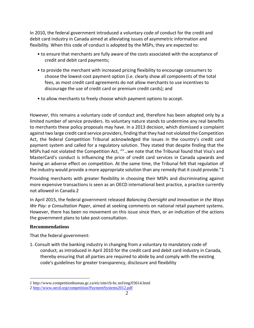In 2010, the federal government introduced a voluntary code of conduct for the credit and debit card industry in Canada aimed at alleviating issues of asymmetric information and flexibility. When this code of conduct is adopted by the MSPs, they are expected to:

- to ensure that merchants are fully aware of the costs associated with the acceptance of credit and debit card payments;
- to provide the merchant with increased pricing flexibility to encourage consumers to choose the lowest-cost payment option (i.e. clearly show all components of the total fees, as most credit card agreements do not allow merchants to use incentives to discourage the use of credit card or premium credit cards); and
- to allow merchants to freely choose which payment options to accept.

However, this remains a voluntary code of conduct and, therefore has been adopted only by a limited number of service providers. Its voluntary nature stands to undermine any real benefits to merchants these policy proposals may have. In a 2013 decision, which dismissed a complaint against two large credit card service providers, finding that they had not violated the Competition Act, the federal Competition Tribunal acknowledged the issues in the country's credit card payment system and called for a regulatory solution. They stated that despite finding that the MSPs had not violated the Competition Act, ""…we note that the Tribunal found that Visa's and MasterCard's conduct is influencing the price of credit card services in Canada upwards and having an adverse effect on competition. At the same time, the Tribunal felt that regulation of the industry would provide a more appropriate solution than any remedy that it could provide."1

Providing merchants with greater flexibility in choosing their MSPs and discriminating against more expensive transactions is seen as an OECD international best practice, a practice currently not allowed in Canada.2

In April 2015, the federal government released *Balancing Oversight and Innovation in the Ways We Pay: a Consultation Paper*, aimed at seeking comments on national retail payment systems. However, there has been no movement on this issue since then, or an indication of the actions the government plans to take post-consultation.

# **Recommendations**

 $\overline{a}$ 

That the federal government:

1. Consult with the banking industry in changing from a voluntary to mandatory code of conduct, as introduced in April 2010 for the credit card and debit card industry in Canada, thereby ensuring that all parties are required to abide by and comply with the existing code's guidelines for greater transparency, disclosure and flexibility

<sup>1</sup> http://www.competitionbureau.gc.ca/eic/site/cb-bc.nsf/eng/03614.html

<sup>2</sup> <http://www.oecd.org/competition/PaymentSystems2012.pdf>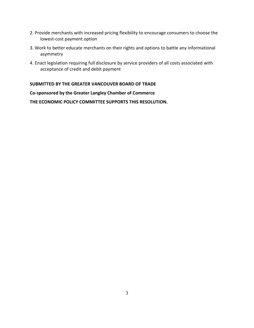- 2. Provide merchants with increased pricing flexibility to encourage consumers to choose the lowest-cost payment option
- 3. Work to better educate merchants on their rights and options to battle any informational asymmetry
- 4. Enact legislation requiring full disclosure by service providers of all costs associated with acceptance of credit and debit payment

## **SUBMITTED BY THE GREATER VANCOUVER BOARD OF TRADE**

#### **Co-sponsored by the Greater Langley Chamber of Commerce**

**THE ECONOMIC POLICY COMMITTEE SUPPORTS THIS RESOLUTION.**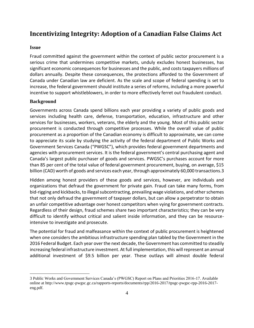# **Incentivizing Integrity: Adoption of a Canadian False Claims Act**

#### **Issue**

Fraud committed against the government within the context of public sector procurement is a serious crime that undermines competitive markets, unduly excludes honest businesses, has significant economic consequences for businesses and the public, and costs taxpayers millions of dollars annually. Despite these consequences, the protections afforded to the Government of Canada under Canadian law are deficient. As the scale and scope of federal spending is set to increase, the federal government should institute a series of reforms, including a more powerful incentive to support whistleblowers, in order to more effectively ferret out fraudulent conduct.

#### **Background**

 $\overline{a}$ 

Governments across Canada spend billions each year providing a variety of public goods and services including health care, defense, transportation, education, infrastructure and other services for businesses, workers, veterans, the elderly and the young. Most of this public sector procurement is conducted through competitive processes. While the overall value of public procurement as a proportion of the Canadian economy is difficult to approximate, we can come to appreciate its scale by studying the activity of the federal department of Public Works and Government Services Canada ("PWGSC"), which provides federal government departments and agencies with procurement services. It is the federal government's central purchasing agent and Canada's largest public purchaser of goods and services. PWGSC's purchases account for more than 85 per cent of the total value of federal government procurement, buying, on average, \$15 billion (CAD) worth of goods and services each year, through approximately 60,000 transactions.3

Hidden among honest providers of these goods and services, however, are individuals and organizations that defraud the government for private gain. Fraud can take many forms, from bid-rigging and kickbacks, to illegal subcontracting, prevailing wage violations, and other schemes that not only defraud the government of taxpayer dollars, but can allow a perpetrator to obtain an unfair competitive advantage over honest competitors when vying for government contracts. Regardless of their design, fraud schemes share two important characteristics; they can be very difficult to identify without critical and salient inside information, and they can be resourceintensive to investigate and prosecute.

The potential for fraud and malfeasance within the context of public procurement is heightened when one considers the ambitious infrastructure spending plan tabled by the Government in the 2016 Federal Budget. Each year over the next decade, the Government has committed to steadily increasing federal infrastructure investment. At full implementation, this will represent an annual additional investment of \$9.5 billion per year. These outlays will almost double federal

<sup>3</sup> Public Works and Government Services Canada's (PWGSC) Report on Plans and Priorities 2016-17. Available online at http://www.tpsgc-pwgsc.gc.ca/rapports-reports/documents/rpp/2016-2017/tpsgc-pwgsc-rpp-2016-2017 eng.pdf.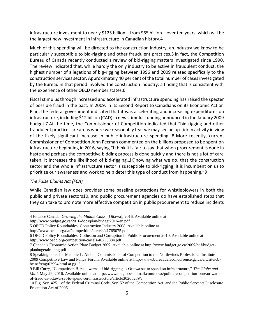infrastructure investment to nearly \$125 billion – from \$65 billion – over ten years, which will be the largest new investment in infrastructure in Canadian history.4

Much of this spending will be directed to the construction industry, an industry we know to be particularly susceptible to bid-rigging and other fraudulent practices.5 In fact, the Competition Bureau of Canada recently conducted a review of bid-rigging matters investigated since 1990. The review indicated that, while hardly the only industry to be active in fraudulent conduct, the highest number of allegations of big-rigging between 1996 and 2009 related specifically to the construction services sector. Approximately 40 per cent of the total number of cases investigated by the Bureau in that period involved the construction industry, a finding that is consistent with the experience of other OECD member states.6

Fiscal stimulus through increased and accelerated infrastructure spending has raised the specter of possible fraud in the past. In 2009, in its Second Report to Canadians on its Economic Action Plan, the federal government indicated that it was accelerating and increasing expenditures on infrastructure, including \$12 billion (CAD) in new stimulus funding announced in the January 2009 budget.7 At the time, the Commissioner of Competition indicated that "bid-rigging and other fraudulent practices are areas where we reasonably fear we may see an up-tick in activity in view of the likely significant increase in public infrastructure spending."8 More recently, current Commissioner of Competition John Pecman commented on the billions proposed to be spent on infrastructure beginning in 2016, saying "I think it is fair to say that when procurement is done in haste and perhaps the competitive bidding process is done quickly and there is not a lot of care taken, it increases the likelihood of bid-rigging…[K]nowing what we do, that the construction sector and the whole infrastructure sector is susceptible to bid-rigging, it is incumbent on us to prioritize our awareness and work to help deter this type of conduct from happening."9

#### *The False Claims Act (FCA)*

 $\overline{a}$ 

While Canadian law does provides some baseline protections for whistleblowers in both the public and private sectors10, and public procurement agencies do have established steps that they can take to promote more effective competition in public procurement to reduce incidents

http://www.oecd.org/daf/competition/cartels/41765075.pdf

<sup>4</sup> Finance Canada. *Growing the Middle Class*. [Ottawa], 2016. Available online at http://www.budget.gc.ca/2016/docs/plan/budget2016-en.pdf

<sup>5</sup> OECD Policy Roundtables: Construction Industry 2008. Available online at

<sup>6</sup> OECD Policy Roundtables: Collusion and Corruption in Public Procurement 2010. Available online at http://www.oecd.org/competition/cartels/46235884.pdf.

<sup>7</sup> Canada's Economic Action Plan: Budget 2009. Available online at http://www.budget.gc.ca/2009/pdf/budgetplanbugetaire-eng.pdf.

<sup>8</sup> Speaking notes for Melanie L. Aitken, Commissioner of Competition to the Northwinds Professional Institute 2009 Competitive Law and Policy Forum. Available online at http://www.bureaudelaconcurrence.gc.ca/eic/site/cbbc.nsf/eng/02994.html at pg. 5.

<sup>9</sup> Bill Curry, "Competition Bureau warns of bid-rigging as Ottawa set to spend on infrastructure," *The Globe and Mail*, May 29, 2016. Available online at http://www.theglobeandmail.com/news/politics/competition-bureau-warnsof-fraud-as-ottawa-set-to-spend-on-infrastructure/article30200239/.

<sup>10</sup> E.g. Sec. 425.1 of the Federal Criminal Code, Sec. 52 of the Competition Act, and the Public Servants Disclosure Protection Act of 2006.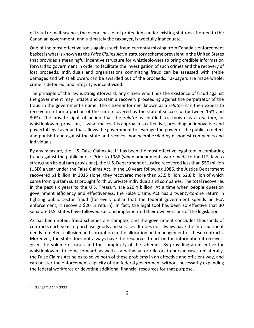of fraud or malfeasance, the overall basket of protections under existing statutes afforded to the Canadian government, and ultimately the taxpayer, is woefully inadequate.

One of the most effective tools against such fraud currently missing from Canada's enforcement basket is what is known as the *False Claims Act,* a statutory scheme prevalent in the United States that provides a meaningful incentive structure for whistleblowers to bring credible information forward to government in order to facilitate the investigation of such crimes and the recovery of lost proceeds. Individuals and organizations committing fraud can be assessed with treble damages and whistleblowers can be awarded out of the proceeds. Taxpayers are made whole, crime is deterred, and integrity is incentivized.

The principle of the law is straightforward: any citizen who finds the existence of fraud against the government may initiate and sustain a recovery proceeding against the perpetrator of the fraud in the government's name. The citizen-informer (known as a *relator*) can then expect to receive in return a portion of the sum recovered by the state if successful (between 15% and 30%). The private right of action that the *relator* is entitled to, known as a *qui tam*, or whistleblower, provision, is what makes this approach so effective, providing an innovative and powerful legal avenue that allows the government to leverage the power of the public to detect and punish fraud against the state and recover money embezzled by dishonest companies and individuals.

By any measure, the U.S. False Claims Act11 has been the most effective legal tool in combating fraud against the public purse. Prior to 1986 (when amendments were made to the U.S. law to strengthen its qui tam provisions), the U.S. Department of Justice recovered less than \$50 million (USD) a year under the False Claims Act. In the 10 years following 1986, the Justice Department recovered \$1 billion. In 2015 alone, they recovered more than \$3.5 billion, \$2.8 billion of which came from qui tam suits brought forth by private individuals and companies. The total recoveries in the past six years to the U.S. Treasury are \$26.4 billion. At a time when people question government efficiency and effectiveness, the False Claims Act has a twenty-to-one return in fighting public sector fraud (for every dollar that the federal government spends on FCA enforcement, it recovers \$20 in return). In fact, the legal tool has been so effective that 30 separate U.S. states have followed suit and implemented their own versions of the legislation.

As has been noted, fraud schemes are complex, and the government concludes thousands of contracts each year to purchase goods and services. It does not always have the information it needs to detect collusion and corruption in the allocation and management of these contracts. Moreover, the state does not always have the resources to act on the information it receives, given the volume of cases and the complexity of the schemes. By providing an incentive for whistleblowers to come forward, as well as a pathway for relators to pursue cases unilaterally, the False Claims Act helps to solve both of these problems in an effective and efficient way, and can bolster the enforcement capacity of the federal government without necessarily expanding the federal workforce or devoting additional financial resources for that purpose.

<sup>11</sup> 31 USC 3729-3733.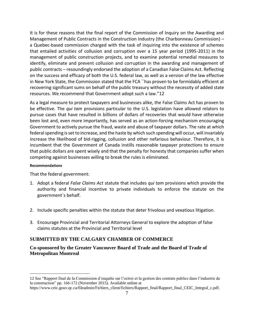It is for these reasons that the final report of the Commission of Inquiry on the Awarding and Management of Public Contracts in the Construction Industry (the Charbonneau Commission) – a Quebec-based commission charged with the task of inquiring into the existence of schemes that entailed activities of collusion and corruption over a 15 year period (1995-2011) in the management of public construction projects, and to examine potential remedial measures to identify, eliminate and prevent collusion and corruption in the awarding and management of public contracts – resoundingly endorsed the adoption of a Canadian False Claims Act. Reflecting on the success and efficacy of both the U.S. federal law, as well as a version of the law effective in New York State, the Commission stated that the FCA ``has proven to be formidably efficient at recovering significant sums on behalf of the public treasury without the necessity of added state resources. We recommend that Government adopt such a law."12

As a legal measure to protect taxpayers and businesses alike, the False Claims Act has proven to be effective. The *qui tam* provisions particular to the U.S. legislation have allowed relators to pursue cases that have resulted in billions of dollars of recoveries that would have otherwise been lost and, even more importantly, has served as an action-forcing mechanism encouraging Government to actively pursue the fraud, waste and abuse of taxpayer dollars. The rate at which federal spending is set to increase, and the haste by which such spending will occur, will invariably increase the likelihood of bid-rigging, collusion and other nefarious behaviour. Therefore, it is incumbent that the Government of Canada instills reasonable taxpayer protections to ensure that public dollars are spent wisely and that the penalty for honesty that companies suffer when competing against businesses willing to break the rules is eliminated.

#### **Recommendations**

 $\overline{a}$ 

That the federal government:

- 1. Adopt a federal *False Claims Act* statute that includes *qui tam* provisions which provide the authority and financial incentive to private individuals to enforce the statute on the government`s behalf.
- 2. Include specific penalties within the statute that deter frivolous and vexatious litigation.
- 3. Encourage Provincial and Territorial Attorneys General to explore the adoption of false claims statutes at the Provincial and Territorial level

#### **SUBMITTED BY THE CALGARY CHAMBER OF COMMERCE**

#### **Co-sponsored by the Greater Vancouver Board of Trade and the Board of Trade of Metropolitan Montreal**

<sup>12</sup> See "Rapport final de la Commission d'enquête sur l'octroi et la gestion des contrats publics dans l'industrie de la construction" pp. 166-172 (November 2015). Available online at

https://www.ceic.gouv.qc.ca/fileadmin/Fichiers\_client/fichiers/Rapport\_final/Rapport\_final\_CEIC\_Integral\_c.pdf.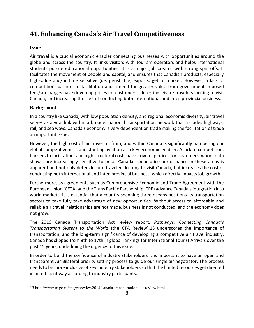# **41. Enhancing Canada's Air Travel Competitiveness**

# **Issue**

Air travel is a crucial economic enabler connecting businesses with opportunities around the globe and across the country. It links visitors with tourism operators and helps international students pursue educational opportunities. It is a major job creator with strong spin offs. It facilitates the movement of people and capital, and ensures that Canadian products, especially high-value and/or time sensitive (i.e. perishable) exports, get to market. However, a lack of competition, barriers to facilitation and a need for greater value from government imposed fees/surcharges have driven up prices for customers - deterring leisure travelers looking to visit Canada, and increasing the cost of conducting both international and inter-provincial business.

# **Background**

 $\overline{a}$ 

In a country like Canada, with low population density, and regional economic diversity, air travel serves as a vital link within a broader national transportation network that includes highways, rail, and sea ways. Canada's economy is very dependent on trade making the facilitation of trade an important issue.

However, the high cost of air travel to, from, and within Canada is significantly hampering our global competitiveness, and stunting aviation as a key economic enabler. A lack of competition, barriers to facilitation, and high structural costs have driven up prices for customers, whom data shows, are increasingly sensitive to price. Canada's poor price performance in these areas is apparent and not only deters leisure travelers looking to visit Canada, but increases the cost of conducting both international and inter-provincial business, which directly impacts job growth.

Furthermore, as agreements such as Comprehensive Economic and Trade Agreement with the European Union (CETA) and the Trans Pacific Partnership (TPP) advance Canada's integration into world markets, it is essential that a country spanning three oceans positions its transportation sectors to take fully take advantage of new opportunities. Without access to affordable and reliable air travel, relationships are not made, business is not conducted, and the economy does not grow.

The 2016 Canada Transportation Act review report, *Pathways: Connecting Canada's Transportation System to the World* (the CTA Review),13 underscores the importance of transportation, and the long-term significance of developing a competitive air travel industry. Canada has slipped from 8th to 17th in global rankings for International Tourist Arrivals over the past 15 years, underlining the urgency to this issue.

In order to build the confidence of industry stakeholders it is important to have an open and transparent Air Bilateral priority setting process to guide our single air negotiator. The process needs to be more inclusive of key industry stakeholders so that the limited resources get directed in an efficient way according to industry participants.

<sup>13</sup> http://www.tc.gc.ca/eng/ctareview2014/canada-transportation-act-review.html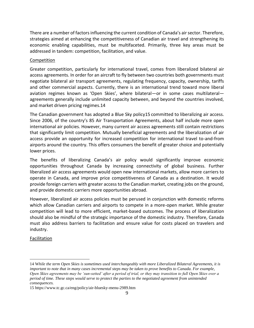There are a number of factors influencing the current condition of Canada's air sector. Therefore, strategies aimed at enhancing the competitiveness of Canadian air travel and strengthening its economic enabling capabilities, must be multifaceted. Primarily, three key areas must be addressed in tandem: competition, facilitation, and value.

#### Competition

Greater competition, particularly for international travel, comes from liberalized bilateral air access agreements. In order for an aircraft to fly between two countries both governments must negotiate bilateral air transport agreements, regulating frequency, capacity, ownership, tariffs and other commercial aspects. Currently, there is an international trend toward more liberal aviation regimes known as 'Open Skies', where bilateral—or in some cases multilateral agreements generally include unlimited capacity between, and beyond the countries involved, and market driven pricing regimes.14

The Canadian government has adopted a Blue Sky policy15 committed to liberalizing air access. Since 2006, of the country's 85 Air Transportation Agreements, about half include more open international air policies. However, many current air access agreements still contain restrictions that significantly limit competition. Mutually beneficial agreements and the liberalization of air access provide an opportunity for increased competition for international travel to-and-from airports around the country. This offers consumers the benefit of greater choice and potentially lower prices.

The benefits of liberalizing Canada's air policy would significantly improve economic opportunities throughout Canada by increasing connectivity of global business. Further liberalized air access agreements would open new international markets, allow more carriers to operate in Canada, and improve price competitiveness of Canada as a destination. It would provide foreign carriers with greater access to the Canadian market, creating jobs on the ground, and provide domestic carriers more opportunities abroad.

However, liberalized air access policies must be perused in conjunction with domestic reforms which allow Canadian carriers and airports to compete in a more-open market. While greater competition will lead to more efficient, market-based outcomes. The process of liberalization should also be mindful of the strategic importance of the domestic industry. Therefore, Canada must also address barriers to facilitation and ensure value for costs placed on travelers and industry.

#### Facilitation

<sup>14</sup> W*hile the term Open Skies is sometimes used interchangeably with more Liberalized Bilateral Agreements, it is important to note that in many cases incremental steps may be taken to prove benefits to Canada. For example, Open Skies agreements may be 'sun-setted' after a period of trial, or they may transition to full Open Skies over a period of time. These steps would serve to protect the parties to the negotiated agreement from unintended consequences.*

<sup>15</sup> https://www.tc.gc.ca/eng/policy/air-bluesky-menu-2989.htm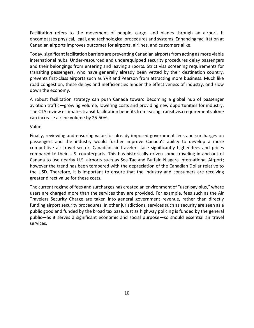Facilitation refers to the movement of people, cargo, and planes through an airport. It encompasses physical, legal, and technological procedures and systems. Enhancing facilitation at Canadian airports improves outcomes for airports, airlines, and customers alike.

Today, significant facilitation barriers are preventing Canadian airports from acting as more viable international hubs. Under-resourced and underequipped security procedures delay passengers and their belongings from entering and leaving airports. Strict visa screening requirements for transiting passengers, who have generally already been vetted by their destination country, prevents first-class airports such as YVR and Pearson from attracting more business. Much like road congestion, these delays and inefficiencies hinder the effectiveness of industry, and slow down the economy.

A robust facilitation strategy can push Canada toward becoming a global hub of passenger aviation traffic—growing volume, lowering costs and providing new opportunities for industry. The CTA review estimates transit facilitation benefits from easing transit visa requirements alone can increase airline volume by 25-50%.

#### Value

Finally, reviewing and ensuring value for already imposed government fees and surcharges on passengers and the industry would further improve Canada's ability to develop a more competitive air travel sector. Canadian air travelers face significantly higher fees and prices compared to their U.S. counterparts. This has historically driven some traveling in-and-out of Canada to use nearby U.S. airports such as Sea-Tac and Buffalo-Niagara International Airport; however the trend has been tempered with the depreciation of the Canadian Dollar relative to the USD. Therefore, it is important to ensure that the industry and consumers are receiving greater direct value for these costs.

The current regime of fees and surcharges has created an environment of "user-pay plus," where users are charged more than the services they are provided. For example, fees such as the Air Travelers Security Charge are taken into general government revenue, rather than directly funding airport security procedures. In other jurisdictions, services such as security are seen as a public good and funded by the broad tax base. Just as highway policing is funded by the general public—as it serves a significant economic and social purpose—so should essential air travel services.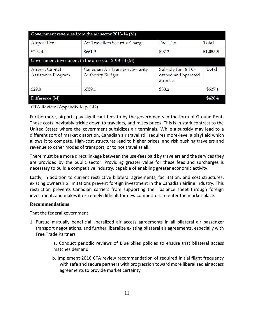| Government revenues from the air sector 2013-14 (M) |                                                            |                                                      |              |
|-----------------------------------------------------|------------------------------------------------------------|------------------------------------------------------|--------------|
| <b>Airport Rent</b>                                 | Air Travellers Security Charge                             | Fuel Tax                                             | <b>Total</b> |
| \$294.4                                             | \$661.9                                                    | \$97.2                                               | \$1,053.5    |
| Government investment in the air sector 2013-14 (M) |                                                            |                                                      |              |
| Airport Capital<br>Assistance Program               | Canadian Air Transport Security<br><b>Authority Budget</b> | Subsidy for 18 TC-<br>owned and operated<br>airports | Total        |
| \$29.8                                              | \$559.1                                                    | \$38.2                                               | \$627.1      |
| Difference (M)                                      |                                                            |                                                      | \$426.4      |

CTA Review (Appendix K, p. 142)

Furthermore, airports pay significant fees to by the governments in the form of Ground Rent. These costs inevitably trickle down to travelers, and raises prices. This is in stark contrast to the United States where the government subsidizes air terminals. While a subsidy may lead to a different sort of market distortion, Canadian air travel still requires more-level a playfield which allows it to compete. High-cost structures lead to higher prices, and risk pushing travelers and revenue to other modes of transport, or to not travel at all.

There must be a more direct linkage between the use-fees paid by travelers and the services they are provided by the public sector. Providing greater value for these fees and surcharges is necessary to build a competitive industry, capable of enabling greater economic activity.

Lastly, in addition to current restrictive bilateral agreements, facilitation, and cost structures, existing ownership limitations prevent foreign investment in the Canadian airline industry. This restriction prevents Canadian carriers from supporting their balance sheet through foreign investment, and makes it extremely difficult for new competitors to enter the market place.

#### **Recommendations**

That the federal government:

1. Pursue mutually beneficial liberalized air access agreements in all bilateral air passenger transport negotiations, and further liberalize existing bilateral air agreements, especially with Free Trade Partners

> a. Conduct periodic reviews of Blue Skies policies to ensure that bilateral access matches demand

> b. Implement 2016 CTA review recommendation of required initial flight frequency with safe and secure partners with progression toward more liberalized air access agreements to provide market certainty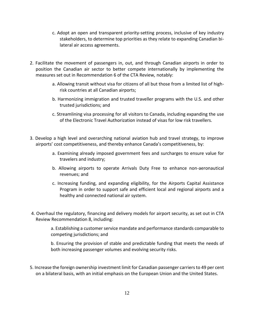- c. Adopt an open and transparent priority-setting process, inclusive of key industry stakeholders, to determine top priorities as they relate to expanding Canadian bilateral air access agreements.
- 2. Facilitate the movement of passengers in, out, and through Canadian airports in order to position the Canadian air sector to better compete internationally by implementing the measures set out in Recommendation 6 of the CTA Review*,* notably:
	- a. Allowing transit without visa for citizens of all but those from a limited list of highrisk countries at all Canadian airports;
	- b. Harmonizing immigration and trusted traveller programs with the U.S. and other trusted jurisdictions; and
	- c. Streamlining visa processing for all visitors to Canada, including expanding the use of the Electronic Travel Authorization instead of visas for low risk travellers.
- 3. Develop a high level and overarching national aviation hub and travel strategy, to improve airports' cost competitiveness, and thereby enhance Canada's competitiveness, by:
	- a. Examining already imposed government fees and surcharges to ensure value for travelers and industry;
	- b. Allowing airports to operate Arrivals Duty Free to enhance non-aeronautical revenues; and
	- c. Increasing funding, and expanding eligibility, for the Airports Capital Assistance Program in order to support safe and efficient local and regional airports and a healthy and connected national air system.
- 4. Overhaul the regulatory, financing and delivery models for airport security, as set out in CTA Review Recommendation 8, including:

a. Establishing a customer service mandate and performance standards comparable to competing jurisdictions; and

b. Ensuring the provision of stable and predictable funding that meets the needs of both increasing passenger volumes and evolving security risks.

5. Increase the foreign ownership investment limit for Canadian passenger carriers to 49 per cent on a bilateral basis, with an initial emphasis on the European Union and the United States.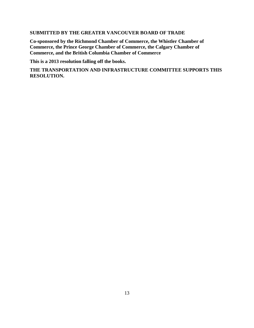## **SUBMITTED BY THE GREATER VANCOUVER BOARD OF TRADE**

**Co-sponsored by the Richmond Chamber of Commerce, the Whistler Chamber of Commerce, the Prince George Chamber of Commerce, the Calgary Chamber of Commerce, and the British Columbia Chamber of Commerce** 

**This is a 2013 resolution falling off the books.** 

**THE TRANSPORTATION AND INFRASTRUCTURE COMMITTEE SUPPORTS THIS RESOLUTION.**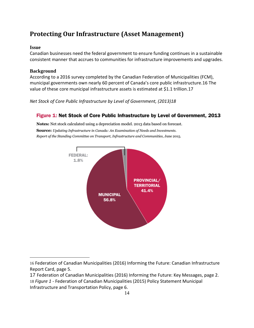# **Protecting Our Infrastructure (Asset Management)**

## **Issue**

 $\overline{a}$ 

Canadian businesses need the federal government to ensure funding continues in a sustainable consistent manner that accrues to communities for infrastructure improvements and upgrades.

# **Background**

According to a 2016 survey completed by the Canadian Federation of Municipalities (FCM), municipal governments own nearly 60 percent of Canada's core public infrastructure.16 The value of these core municipal infrastructure assets is estimated at \$1.1 trillion.17

*Net Stock of Core Public Infrastructure by Level of Government, (2013)18*

# Figure 1: Net Stock of Core Public Infrastructure by Level of Government, 2013

Notes: Net stock calculated using a depreciation model. 2013 data based on forecast. **Source:** Updating Infrastructure in Canada: An Examination of Needs and Investments. Report of the Standing Committee on Transport, Infrastructure and Communities, June 2015.



<sup>16</sup> Federation of Canadian Municipalities (2016) Informing the Future: Canadian Infrastructure Report Card, page 5.

<sup>17</sup> Federation of Canadian Municipalities (2016) Informing the Future: Key Messages, page 2. 18 *Figure 1* - Federation of Canadian Municipalities (2015) Policy Statement Municipal Infrastructure and Transportation Policy, page 6.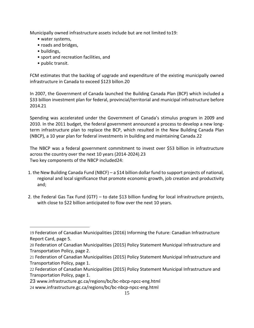Municipally owned infrastructure assets include but are not limited to19:

- water systems,
- roads and bridges,
- buildings,

 $\overline{a}$ 

- sport and recreation facilities, and
- public transit.

FCM estimates that the backlog of upgrade and expenditure of the existing municipally owned infrastructure in Canada to exceed \$123 billon.20

In 2007, the Government of Canada launched the Building Canada Plan (BCP) which included a \$33 billion investment plan for federal, provincial/territorial and municipal infrastructure before 2014.21

Spending was accelerated under the Government of Canada's stimulus program in 2009 and 2010. In the 2011 budget, the federal government announced a process to develop a new longterm infrastructure plan to replace the BCP, which resulted in the New Building Canada Plan (NBCP), a 10 year plan for federal investments in building and maintaining Canada.22

The NBCP was a federal government commitment to invest over \$53 billion in infrastructure across the country over the next 10 years (2014-2024).23 Two key components of the NBCP included24:

- 1. the New Building Canada Fund (NBCF) a \$14 billion dollar fund to support projects of national, regional and local significance that promote economic growth, job creation and productivity and;
- 2. the Federal Gas Tax Fund (GTF) to date \$13 billion funding for local infrastructure projects, with close to \$22 billion anticipated to flow over the next 10 years.

<sup>19</sup> Federation of Canadian Municipalities (2016) Informing the Future: Canadian Infrastructure Report Card, page 5.

<sup>20</sup> Federation of Canadian Municipalities (2015) Policy Statement Municipal Infrastructure and Transportation Policy, page 2.

<sup>21</sup> Federation of Canadian Municipalities (2015) Policy Statement Municipal Infrastructure and Transportation Policy, page 1.

<sup>22</sup> Federation of Canadian Municipalities (2015) Policy Statement Municipal Infrastructure and Transportation Policy, page 1.

<sup>23</sup> www.infrastructure.gc.ca/regions/bc/bc-nbcp-npcc-eng.html

<sup>24</sup> www.infrastructure.gc.ca/regions/bc/bc-nbcp-npcc-eng.html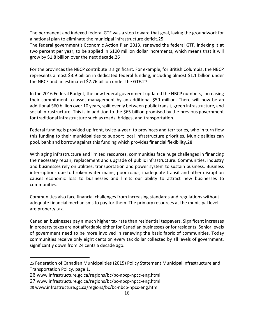The permanent and indexed federal GTF was a step toward that goal, laying the groundwork for a national plan to eliminate the municipal infrastructure deficit.25

The federal government's Economic Action Plan 2013, renewed the federal GTF, indexing it at two percent per year, to be applied in \$100 million dollar increments, which means that it will grow by \$1.8 billion over the next decade.26

For the provinces the NBCP contribute is significant. For example, for British Columbia, the NBCP represents almost \$3.9 billion in dedicated federal funding, including almost \$1.1 billion under the NBCF and an estimated \$2.76 billion under the GTF.27

In the 2016 Federal Budget, the new federal government updated the NBCP numbers, increasing their commitment to asset management by an additional \$50 million. There will now be an additional \$60 billion over 10 years, split evenly between public transit, green infrastructure, and social infrastructure. This is in addition to the \$65 billion promised by the previous government for traditional infrastructure such as roads, bridges, and transportation.

Federal funding is provided up front, twice-a-year, to provinces and territories, who in turn flow this funding to their municipalities to support local infrastructure priorities. Municipalities can pool, bank and borrow against this funding which provides financial flexibility.28

With aging infrastructure and limited resources, communities face huge challenges in financing the necessary repair, replacement and upgrade of public infrastructure. Communities, industry and businesses rely on utilities, transportation and power system to sustain business. Business interruptions due to broken water mains, poor roads, inadequate transit and other disruption causes economic loss to businesses and limits our ability to attract new businesses to communities.

Communities also face financial challenges from increasing standards and regulations without adequate financial mechanisms to pay for them. The primary resources at the municipal level are property tax.

Canadian businesses pay a much higher tax rate than residential taxpayers. Significant increases in property taxes are not affordable either for Canadian businesses or for residents. Senior levels of government need to be more involved in renewing the basic fabric of communities. Today communities receive only eight cents on every tax dollar collected by all levels of government, significantly down from 24 cents a decade ago.

<sup>25</sup> Federation of Canadian Municipalities (2015) Policy Statement Municipal Infrastructure and Transportation Policy, page 1.

<sup>26</sup> www.infrastructure.gc.ca/regions/bc/bc-nbcp-npcc-eng.html

<sup>27</sup> www.infrastructure.gc.ca/regions/bc/bc-nbcp-npcc-eng.html

<sup>28</sup> www.infrastructure.gc.ca/regions/bc/bc-nbcp-npcc-eng.html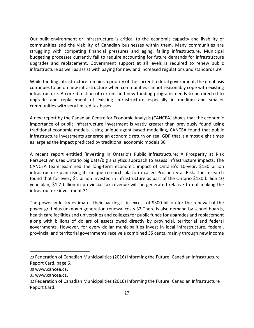Our built environment or infrastructure is critical to the economic capacity and livability of communities and the viability of Canadian businesses within them. Many communities are struggling with competing financial pressures and aging, failing infrastructure. Municipal budgeting processes currently fail to require accounting for future demands for infrastructure upgrades and replacement. Government support at all levels is required to renew public infrastructure as well as assist with paying for new and increased regulations and standards.29

While funding infrastructure remains a priority of the current federal government, the emphasis continues to be on new infrastructure when communities cannot reasonably cope with existing infrastructure. A core direction of current and new funding programs needs to be directed to upgrade and replacement of existing infrastructure especially in medium and smaller communities with very limited tax bases.

A new report by the Canadian Centre for Economic Analysis (CANCEA) shows that the economic importance of public infrastructure investment is vastly greater than previously found using traditional economic models. Using unique agent-based modelling, CANCEA found that public infrastructure investments generate an economic return on real GDP that is almost eight times as large as the impact predicted by traditional economic models.30

A recent report entitled 'Investing in Ontario's Public Infrastructure: A Prosperity at Risk Perspective' uses Ontario big data/big analytics approach to assess infrastructure impacts. The CANCEA team examined the long-term economic impact of Ontario's 10-year, \$130 billion infrastructure plan using its unique research platform called Prosperity at Risk. The research found that for every \$1 billion invested in infrastructure as part of the Ontario \$130 billion 10 year plan, \$1.7 billion in provincial tax revenue will be generated relative to not making the infrastructure investment.31

The power industry estimates their backlog is in excess of \$300 billion for the renewal of the power grid plus unknown generation renewal costs.32 There is also demand by school boards, health care facilities and universities and colleges for public funds for upgrades and replacement along with billions of dollars of assets owed directly by provincial, territorial and federal governments. However, for every dollar municipalities invest in local infrastructure, federal, provincial and territorial governments receive a combined 35 cents, mainly through new income

<sup>29</sup> Federation of Canadian Municipalities (2016) Informing the Future: Canadian Infrastructure Report Card, page 6.

<sup>30</sup> www.cancea.ca.

<sup>31</sup> www.cancea.ca.

<sup>32</sup> Federation of Canadian Municipalities (2016) Informing the Future: Canadian Infrastructure Report Card.